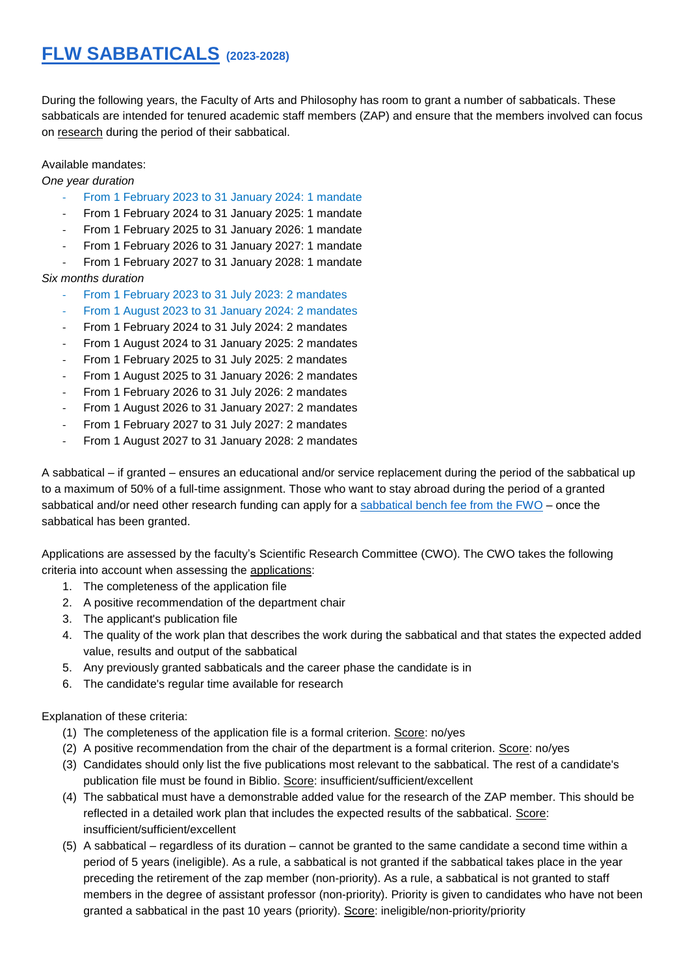## **FLW SABBATICALS (2023-2028)**

During the following years, the Faculty of Arts and Philosophy has room to grant a number of sabbaticals. These sabbaticals are intended for tenured academic staff members (ZAP) and ensure that the members involved can focus on research during the period of their sabbatical.

## Available mandates:

*One year duration*

- From 1 February 2023 to 31 January 2024: 1 mandate
- From 1 February 2024 to 31 January 2025: 1 mandate
- From 1 February 2025 to 31 January 2026: 1 mandate
- From 1 February 2026 to 31 January 2027: 1 mandate
- From 1 February 2027 to 31 January 2028: 1 mandate

## *Six months duration*

- From 1 February 2023 to 31 July 2023: 2 mandates
- From 1 August 2023 to 31 January 2024: 2 mandates
- From 1 February 2024 to 31 July 2024: 2 mandates
- From 1 August 2024 to 31 January 2025: 2 mandates
- From 1 February 2025 to 31 July 2025: 2 mandates
- From 1 August 2025 to 31 January 2026: 2 mandates
- From 1 February 2026 to 31 July 2026: 2 mandates
- From 1 August 2026 to 31 January 2027: 2 mandates
- From 1 February 2027 to 31 July 2027: 2 mandates
- From 1 August 2027 to 31 January 2028: 2 mandates

A sabbatical – if granted – ensures an educational and/or service replacement during the period of the sabbatical up to a maximum of 50% of a full-time assignment. Those who want to stay abroad during the period of a granted sabbatical and/or need other research funding can apply for a [sabbatical bench fee from the FWO](https://www.fwo.be/en/fellowships-funding/sabbatical-bench-fee/) – once the sabbatical has been granted.

Applications are assessed by the faculty's Scientific Research Committee (CWO). The CWO takes the following criteria into account when assessing the applications:

- 1. The completeness of the application file
- 2. A positive recommendation of the department chair
- 3. The applicant's publication file
- 4. The quality of the work plan that describes the work during the sabbatical and that states the expected added value, results and output of the sabbatical
- 5. Any previously granted sabbaticals and the career phase the candidate is in
- 6. The candidate's regular time available for research

Explanation of these criteria:

- (1) The completeness of the application file is a formal criterion. Score: no/yes
- (2) A positive recommendation from the chair of the department is a formal criterion. Score: no/yes
- (3) Candidates should only list the five publications most relevant to the sabbatical. The rest of a candidate's publication file must be found in Biblio. Score: insufficient/sufficient/excellent
- (4) The sabbatical must have a demonstrable added value for the research of the ZAP member. This should be reflected in a detailed work plan that includes the expected results of the sabbatical. Score: insufficient/sufficient/excellent
- (5) A sabbatical regardless of its duration cannot be granted to the same candidate a second time within a period of 5 years (ineligible). As a rule, a sabbatical is not granted if the sabbatical takes place in the year preceding the retirement of the zap member (non-priority). As a rule, a sabbatical is not granted to staff members in the degree of assistant professor (non-priority). Priority is given to candidates who have not been granted a sabbatical in the past 10 years (priority). Score: ineligible/non-priority/priority